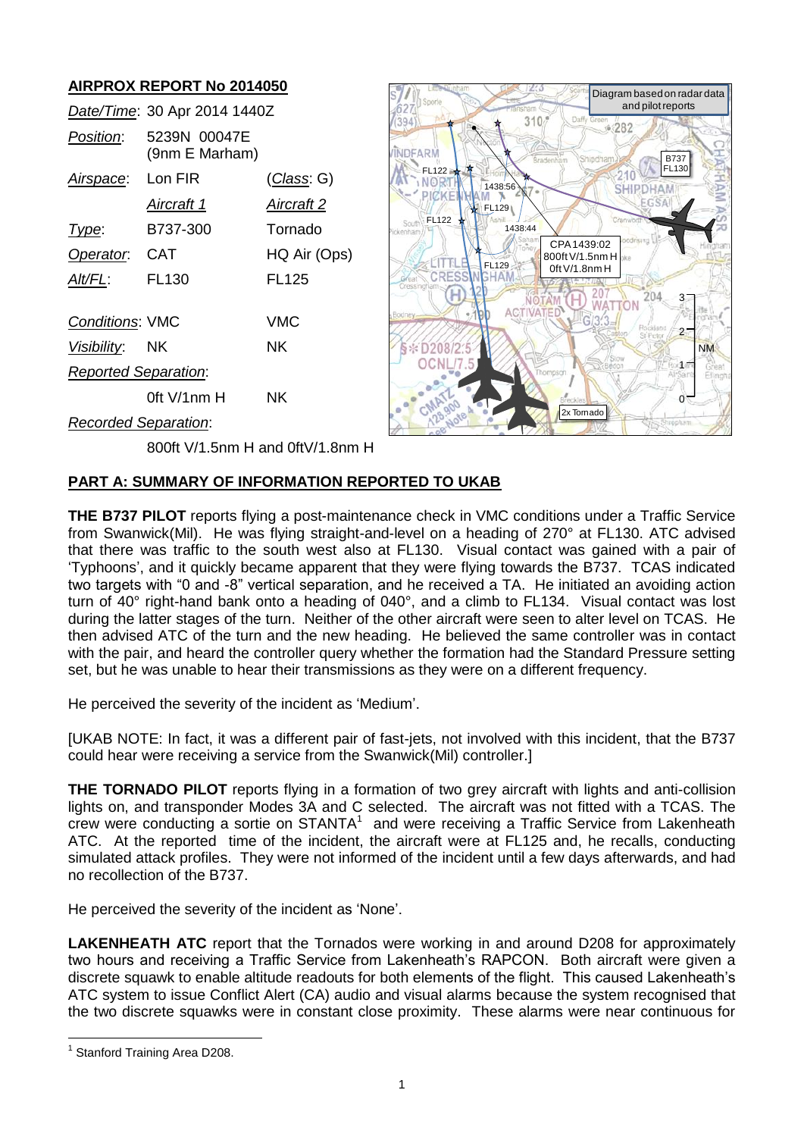# **AIRPROX REPORT No 2014050**

|                             | Date/Time: 30 Apr 2014 1440Z   |                    |
|-----------------------------|--------------------------------|--------------------|
| Position:                   | 5239N 00047E<br>(9nm E Marham) |                    |
| Airspace:                   | Lon FIR                        | <u>(Class</u> : G) |
|                             | <u>Aircraft 1</u>              | <u>Aircraft 2</u>  |
| Type:                       | B737-300                       | Tornado            |
| Operator.                   | CAT                            | HQ Air (Ops)       |
| AIt/FL:                     | FL <sub>130</sub>              | <b>FL125</b>       |
| <b>Conditions: VMC</b>      |                                | VMC                |
| <i>Visibility</i> : NK      |                                | ΝK                 |
| <b>Reported Separation:</b> |                                |                    |
|                             | 0ft $V/1$ nm $H$               | ΝK                 |
| Recorded Separation:        |                                |                    |



800ft V/1.5nm H and 0ftV/1.8nm H

# **PART A: SUMMARY OF INFORMATION REPORTED TO UKAB**

**THE B737 PILOT** reports flying a post-maintenance check in VMC conditions under a Traffic Service from Swanwick(Mil). He was flying straight-and-level on a heading of 270° at FL130. ATC advised that there was traffic to the south west also at FL130. Visual contact was gained with a pair of 'Typhoons', and it quickly became apparent that they were flying towards the B737. TCAS indicated two targets with "0 and -8" vertical separation, and he received a TA. He initiated an avoiding action turn of 40° right-hand bank onto a heading of 040°, and a climb to FL134. Visual contact was lost during the latter stages of the turn. Neither of the other aircraft were seen to alter level on TCAS. He then advised ATC of the turn and the new heading. He believed the same controller was in contact with the pair, and heard the controller query whether the formation had the Standard Pressure setting set, but he was unable to hear their transmissions as they were on a different frequency.

He perceived the severity of the incident as 'Medium'.

[UKAB NOTE: In fact, it was a different pair of fast-jets, not involved with this incident, that the B737 could hear were receiving a service from the Swanwick(Mil) controller.]

**THE TORNADO PILOT** reports flying in a formation of two grey aircraft with lights and anti-collision lights on, and transponder Modes 3A and C selected. The aircraft was not fitted with a TCAS. The crew were conducting a sortie on  $STANTA<sup>1</sup>$  and were receiving a Traffic Service from Lakenheath ATC. At the reported time of the incident, the aircraft were at FL125 and, he recalls, conducting simulated attack profiles. They were not informed of the incident until a few days afterwards, and had no recollection of the B737.

He perceived the severity of the incident as 'None'.

**LAKENHEATH ATC** report that the Tornados were working in and around D208 for approximately two hours and receiving a Traffic Service from Lakenheath's RAPCON. Both aircraft were given a discrete squawk to enable altitude readouts for both elements of the flight. This caused Lakenheath's ATC system to issue Conflict Alert (CA) audio and visual alarms because the system recognised that the two discrete squawks were in constant close proximity. These alarms were near continuous for

 $\overline{a}$ 

<sup>&</sup>lt;sup>1</sup> Stanford Training Area D208.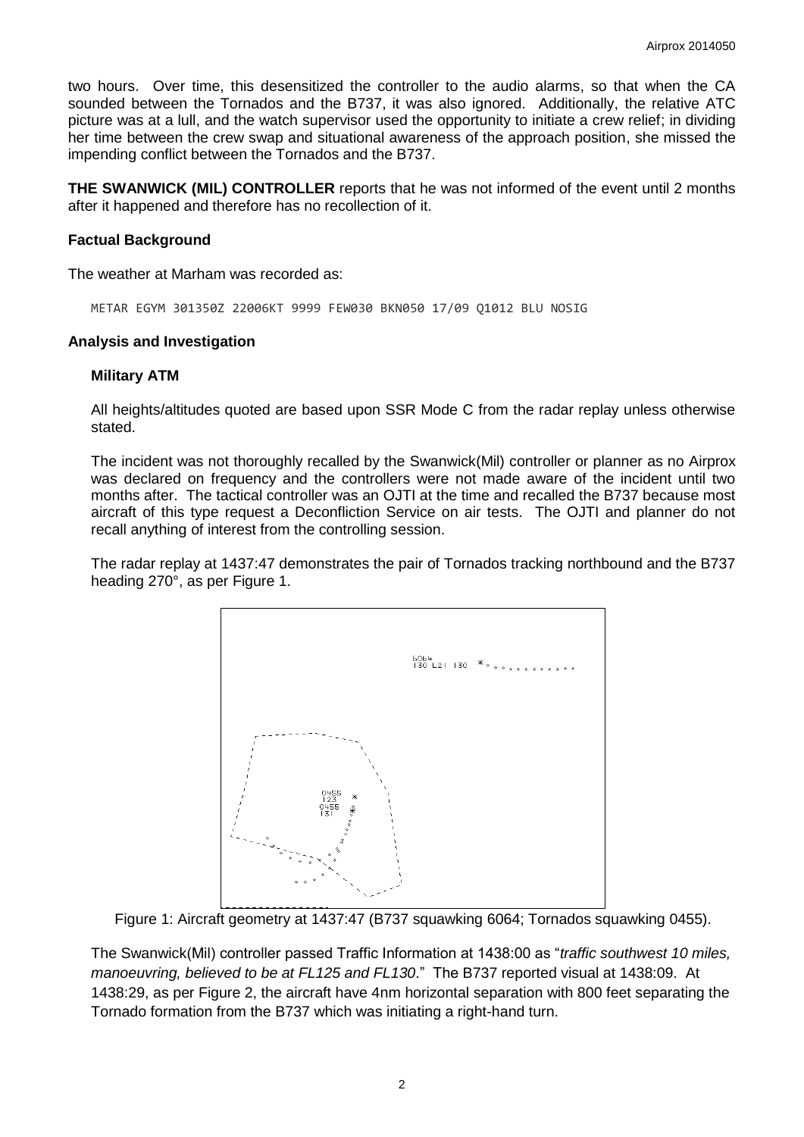two hours. Over time, this desensitized the controller to the audio alarms, so that when the CA sounded between the Tornados and the B737, it was also ignored. Additionally, the relative ATC picture was at a lull, and the watch supervisor used the opportunity to initiate a crew relief; in dividing her time between the crew swap and situational awareness of the approach position, she missed the impending conflict between the Tornados and the B737.

**THE SWANWICK (MIL) CONTROLLER** reports that he was not informed of the event until 2 months after it happened and therefore has no recollection of it.

## **Factual Background**

The weather at Marham was recorded as:

METAR EGYM 301350Z 22006KT 9999 FEW030 BKN050 17/09 Q1012 BLU NOSIG

#### **Analysis and Investigation**

#### **Military ATM**

All heights/altitudes quoted are based upon SSR Mode C from the radar replay unless otherwise stated.

The incident was not thoroughly recalled by the Swanwick(Mil) controller or planner as no Airprox was declared on frequency and the controllers were not made aware of the incident until two months after. The tactical controller was an OJTI at the time and recalled the B737 because most aircraft of this type request a Deconfliction Service on air tests. The OJTI and planner do not recall anything of interest from the controlling session.

The radar replay at 1437:47 demonstrates the pair of Tornados tracking northbound and the B737 heading 270°, as per Figure 1.



Figure 1: Aircraft geometry at 1437:47 (B737 squawking 6064; Tornados squawking 0455).

The Swanwick(Mil) controller passed Traffic Information at 1438:00 as "*traffic southwest 10 miles, manoeuvring, believed to be at FL125 and FL130*." The B737 reported visual at 1438:09. At 1438:29, as per Figure 2, the aircraft have 4nm horizontal separation with 800 feet separating the Tornado formation from the B737 which was initiating a right-hand turn.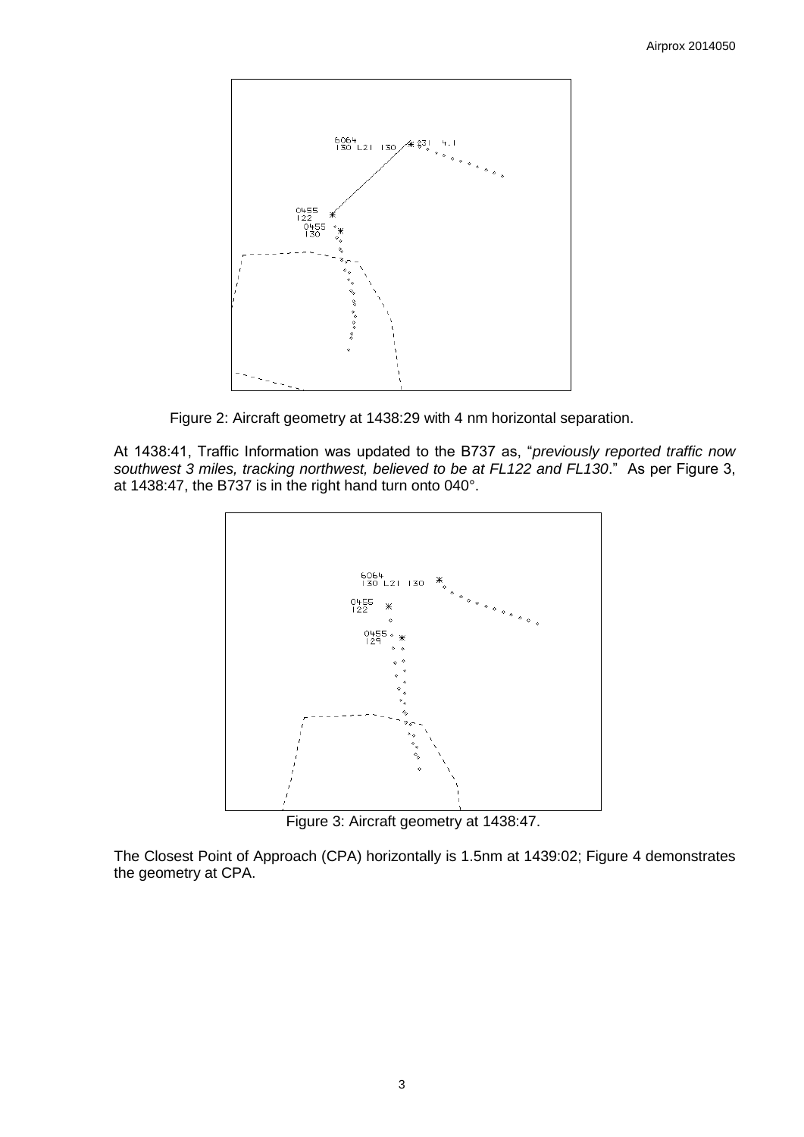

Figure 2: Aircraft geometry at 1438:29 with 4 nm horizontal separation.

At 1438:41, Traffic Information was updated to the B737 as, "*previously reported traffic now southwest 3 miles, tracking northwest, believed to be at FL122 and FL130*." As per Figure 3, at 1438:47, the B737 is in the right hand turn onto 040°.



Figure 3: Aircraft geometry at 1438:47.

The Closest Point of Approach (CPA) horizontally is 1.5nm at 1439:02; Figure 4 demonstrates the geometry at CPA.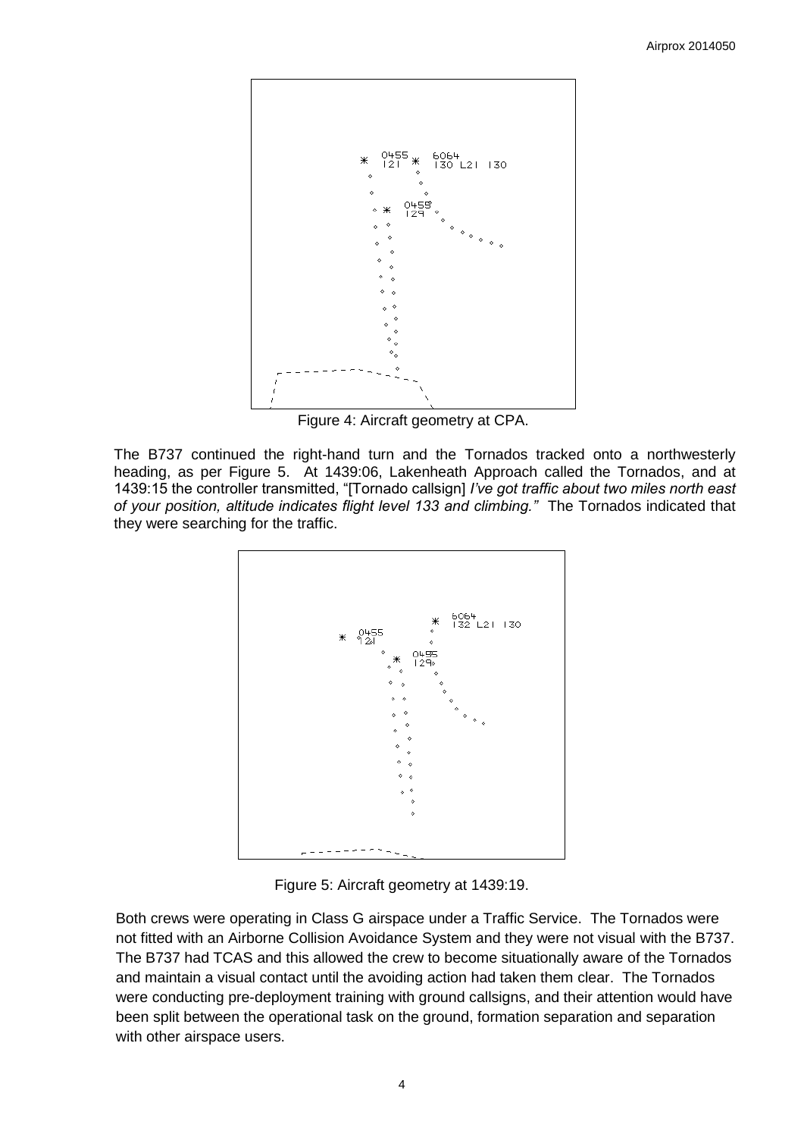

Figure 4: Aircraft geometry at CPA.

The B737 continued the right-hand turn and the Tornados tracked onto a northwesterly heading, as per Figure 5. At 1439:06, Lakenheath Approach called the Tornados, and at 1439:15 the controller transmitted, "[Tornado callsign] *I've got traffic about two miles north east of your position, altitude indicates flight level 133 and climbing."* The Tornados indicated that they were searching for the traffic.



Figure 5: Aircraft geometry at 1439:19.

Both crews were operating in Class G airspace under a Traffic Service. The Tornados were not fitted with an Airborne Collision Avoidance System and they were not visual with the B737. The B737 had TCAS and this allowed the crew to become situationally aware of the Tornados and maintain a visual contact until the avoiding action had taken them clear. The Tornados were conducting pre-deployment training with ground callsigns, and their attention would have been split between the operational task on the ground, formation separation and separation with other airspace users.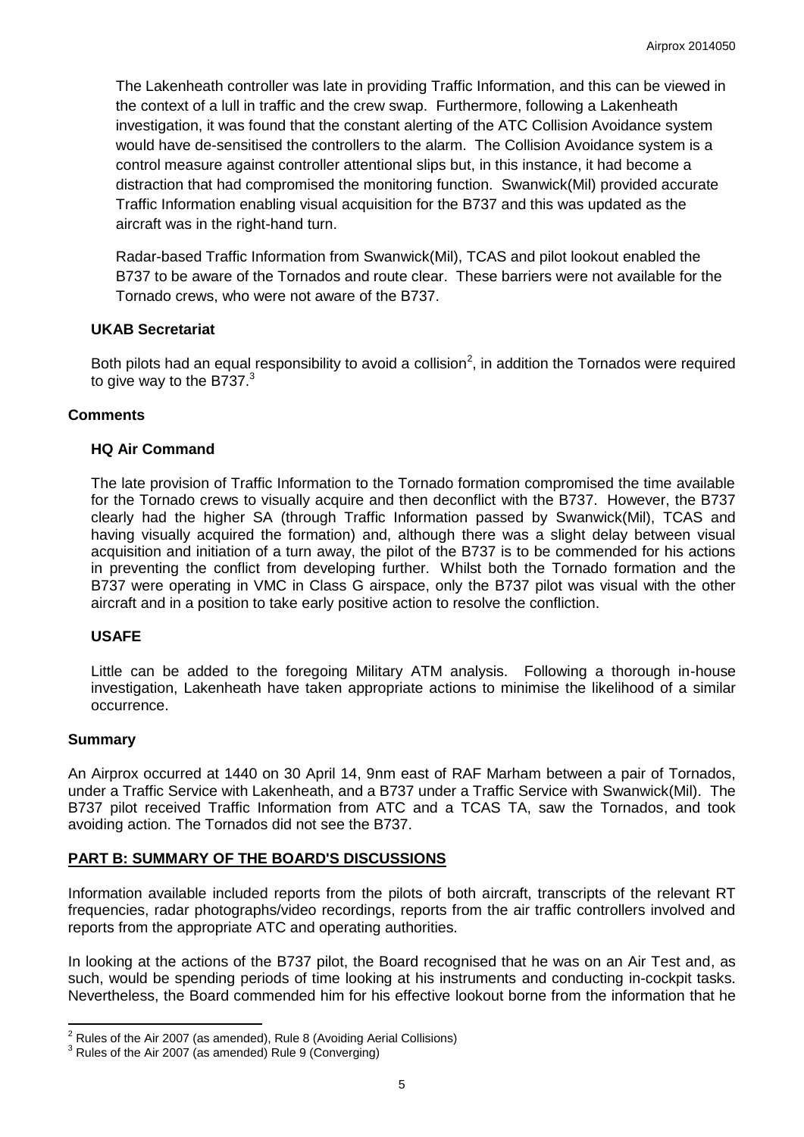The Lakenheath controller was late in providing Traffic Information, and this can be viewed in the context of a lull in traffic and the crew swap. Furthermore, following a Lakenheath investigation, it was found that the constant alerting of the ATC Collision Avoidance system would have de-sensitised the controllers to the alarm. The Collision Avoidance system is a control measure against controller attentional slips but, in this instance, it had become a distraction that had compromised the monitoring function. Swanwick(Mil) provided accurate Traffic Information enabling visual acquisition for the B737 and this was updated as the aircraft was in the right-hand turn.

Radar-based Traffic Information from Swanwick(Mil), TCAS and pilot lookout enabled the B737 to be aware of the Tornados and route clear. These barriers were not available for the Tornado crews, who were not aware of the B737.

### **UKAB Secretariat**

Both pilots had an equal responsibility to avoid a collision<sup>2</sup>, in addition the Tornados were required to give way to the B737. $3$ 

### **Comments**

### **HQ Air Command**

The late provision of Traffic Information to the Tornado formation compromised the time available for the Tornado crews to visually acquire and then deconflict with the B737. However, the B737 clearly had the higher SA (through Traffic Information passed by Swanwick(Mil), TCAS and having visually acquired the formation) and, although there was a slight delay between visual acquisition and initiation of a turn away, the pilot of the B737 is to be commended for his actions in preventing the conflict from developing further. Whilst both the Tornado formation and the B737 were operating in VMC in Class G airspace, only the B737 pilot was visual with the other aircraft and in a position to take early positive action to resolve the confliction.

# **USAFE**

Little can be added to the foregoing Military ATM analysis. Following a thorough in-house investigation, Lakenheath have taken appropriate actions to minimise the likelihood of a similar occurrence.

#### **Summary**

 $\overline{\phantom{a}}$ 

An Airprox occurred at 1440 on 30 April 14, 9nm east of RAF Marham between a pair of Tornados, under a Traffic Service with Lakenheath, and a B737 under a Traffic Service with Swanwick(Mil). The B737 pilot received Traffic Information from ATC and a TCAS TA, saw the Tornados, and took avoiding action. The Tornados did not see the B737.

# **PART B: SUMMARY OF THE BOARD'S DISCUSSIONS**

Information available included reports from the pilots of both aircraft, transcripts of the relevant RT frequencies, radar photographs/video recordings, reports from the air traffic controllers involved and reports from the appropriate ATC and operating authorities.

In looking at the actions of the B737 pilot, the Board recognised that he was on an Air Test and, as such, would be spending periods of time looking at his instruments and conducting in-cockpit tasks. Nevertheless, the Board commended him for his effective lookout borne from the information that he

 $2$  Rules of the Air 2007 (as amended), Rule 8 (Avoiding Aerial Collisions)

 $3$  Rules of the Air 2007 (as amended) Rule 9 (Converging)